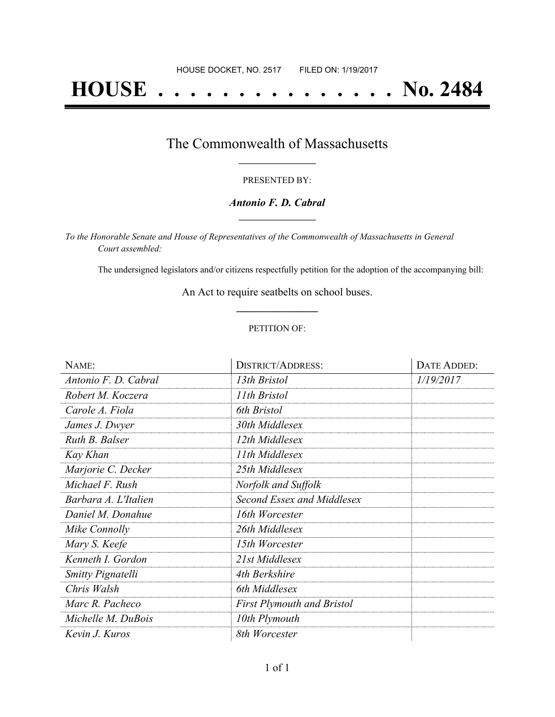# **HOUSE . . . . . . . . . . . . . . . No. 2484**

### The Commonwealth of Massachusetts **\_\_\_\_\_\_\_\_\_\_\_\_\_\_\_\_\_**

#### PRESENTED BY:

#### *Antonio F. D. Cabral* **\_\_\_\_\_\_\_\_\_\_\_\_\_\_\_\_\_**

*To the Honorable Senate and House of Representatives of the Commonwealth of Massachusetts in General Court assembled:*

The undersigned legislators and/or citizens respectfully petition for the adoption of the accompanying bill:

An Act to require seatbelts on school buses. **\_\_\_\_\_\_\_\_\_\_\_\_\_\_\_**

#### PETITION OF:

| NAME:                    | <b>DISTRICT/ADDRESS:</b>          | DATE ADDED: |
|--------------------------|-----------------------------------|-------------|
| Antonio F. D. Cabral     | 13th Bristol                      | 1/19/2017   |
| Robert M. Koczera        | 11th Bristol                      |             |
| Carole A. Fiola          | 6th Bristol                       |             |
| James J. Dwyer           | 30th Middlesex                    |             |
| Ruth B. Balser           | 12th Middlesex                    |             |
| Kay Khan                 | 11th Middlesex                    |             |
| Marjorie C. Decker       | 25th Middlesex                    |             |
| Michael F. Rush          | Norfolk and Suffolk               |             |
| Barbara A. L'Italien     | Second Essex and Middlesex        |             |
| Daniel M. Donahue        | 16th Worcester                    |             |
| Mike Connolly            | 26th Middlesex                    |             |
| Mary S. Keefe            | 15th Worcester                    |             |
| Kenneth I. Gordon        | 21st Middlesex                    |             |
| <b>Smitty Pignatelli</b> | 4th Berkshire                     |             |
| Chris Walsh              | 6th Middlesex                     |             |
| Marc R. Pacheco          | <b>First Plymouth and Bristol</b> |             |
| Michelle M. DuBois       | 10th Plymouth                     |             |
| Kevin J. Kuros           | 8th Worcester                     |             |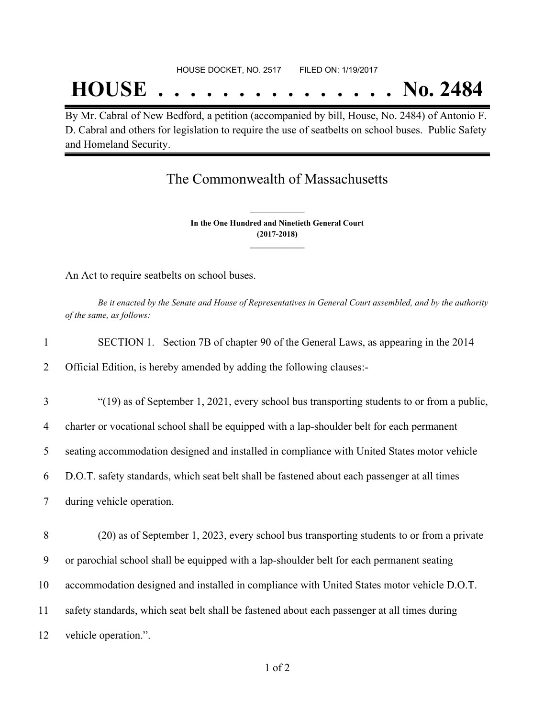## **HOUSE . . . . . . . . . . . . . . . No. 2484**

By Mr. Cabral of New Bedford, a petition (accompanied by bill, House, No. 2484) of Antonio F. D. Cabral and others for legislation to require the use of seatbelts on school buses. Public Safety and Homeland Security.

## The Commonwealth of Massachusetts

**In the One Hundred and Ninetieth General Court (2017-2018) \_\_\_\_\_\_\_\_\_\_\_\_\_\_\_**

**\_\_\_\_\_\_\_\_\_\_\_\_\_\_\_**

An Act to require seatbelts on school buses.

Be it enacted by the Senate and House of Representatives in General Court assembled, and by the authority *of the same, as follows:*

| $\mathbf{1}$    | SECTION 1. Section 7B of chapter 90 of the General Laws, as appearing in the 2014            |
|-----------------|----------------------------------------------------------------------------------------------|
| $\overline{2}$  | Official Edition, is hereby amended by adding the following clauses:-                        |
| $\overline{3}$  | "(19) as of September 1, 2021, every school bus transporting students to or from a public,   |
| $\overline{4}$  | charter or vocational school shall be equipped with a lap-shoulder belt for each permanent   |
| $5\overline{)}$ | seating accommodation designed and installed in compliance with United States motor vehicle  |
| 6               | D.O.T. safety standards, which seat belt shall be fastened about each passenger at all times |
| $\overline{7}$  | during vehicle operation.                                                                    |
| 8               | (20) as of September 1, 2023, every school bus transporting students to or from a private    |
| 9               | or parochial school shall be equipped with a lap-shoulder belt for each permanent seating    |

10 accommodation designed and installed in compliance with United States motor vehicle D.O.T.

11 safety standards, which seat belt shall be fastened about each passenger at all times during

12 vehicle operation.".